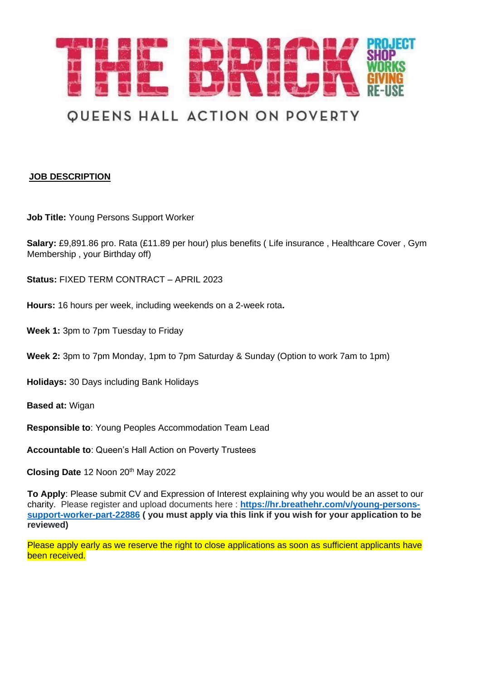

# **QUEENS HALL ACTION ON POVERTY**

#### **JOB DESCRIPTION**

**Job Title:** Young Persons Support Worker

**Salary:** £9,891.86 pro. Rata (£11.89 per hour) plus benefits ( Life insurance , Healthcare Cover , Gym Membership , your Birthday off)

**Status:** FIXED TERM CONTRACT – APRIL 2023

- **Hours:** 16 hours per week, including weekends on a 2-week rota**.**
- **Week 1:** 3pm to 7pm Tuesday to Friday
- **Week 2:** 3pm to 7pm Monday, 1pm to 7pm Saturday & Sunday (Option to work 7am to 1pm)

**Holidays:** 30 Days including Bank Holidays

**Based at:** Wigan

**Responsible to**: Young Peoples Accommodation Team Lead

**Accountable to**: Queen's Hall Action on Poverty Trustees

Closing Date 12 Noon 20<sup>th</sup> May 2022

**To Apply**: Please submit CV and Expression of Interest explaining why you would be an asset to our charity. Please register and upload documents here : **[https://hr.breathehr.com/v/young-persons](https://hr.breathehr.com/v/young-persons-support-worker-part-22886)[support-worker-part-22886](https://hr.breathehr.com/v/young-persons-support-worker-part-22886) ( you must apply via this link if you wish for your application to be reviewed)**

Please apply early as we reserve the right to close applications as soon as sufficient applicants have been received.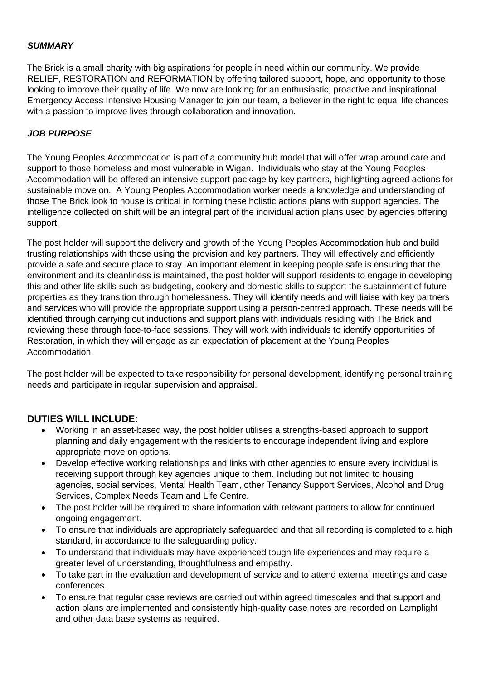#### *SUMMARY*

The Brick is a small charity with big aspirations for people in need within our community. We provide RELIEF, RESTORATION and REFORMATION by offering tailored support, hope, and opportunity to those looking to improve their quality of life. We now are looking for an enthusiastic, proactive and inspirational Emergency Access Intensive Housing Manager to join our team, a believer in the right to equal life chances with a passion to improve lives through collaboration and innovation.

#### *JOB PURPOSE*

The Young Peoples Accommodation is part of a community hub model that will offer wrap around care and support to those homeless and most vulnerable in Wigan. Individuals who stay at the Young Peoples Accommodation will be offered an intensive support package by key partners, highlighting agreed actions for sustainable move on. A Young Peoples Accommodation worker needs a knowledge and understanding of those The Brick look to house is critical in forming these holistic actions plans with support agencies. The intelligence collected on shift will be an integral part of the individual action plans used by agencies offering support.

The post holder will support the delivery and growth of the Young Peoples Accommodation hub and build trusting relationships with those using the provision and key partners. They will effectively and efficiently provide a safe and secure place to stay. An important element in keeping people safe is ensuring that the environment and its cleanliness is maintained, the post holder will support residents to engage in developing this and other life skills such as budgeting, cookery and domestic skills to support the sustainment of future properties as they transition through homelessness. They will identify needs and will liaise with key partners and services who will provide the appropriate support using a person-centred approach. These needs will be identified through carrying out inductions and support plans with individuals residing with The Brick and reviewing these through face-to-face sessions. They will work with individuals to identify opportunities of Restoration, in which they will engage as an expectation of placement at the Young Peoples Accommodation.

The post holder will be expected to take responsibility for personal development, identifying personal training needs and participate in regular supervision and appraisal.

#### **DUTIES WILL INCLUDE:**

- Working in an asset-based way, the post holder utilises a strengths-based approach to support planning and daily engagement with the residents to encourage independent living and explore appropriate move on options.
- Develop effective working relationships and links with other agencies to ensure every individual is receiving support through key agencies unique to them. Including but not limited to housing agencies, social services, Mental Health Team, other Tenancy Support Services, Alcohol and Drug Services, Complex Needs Team and Life Centre.
- The post holder will be required to share information with relevant partners to allow for continued ongoing engagement.
- To ensure that individuals are appropriately safeguarded and that all recording is completed to a high standard, in accordance to the safeguarding policy.
- To understand that individuals may have experienced tough life experiences and may require a greater level of understanding, thoughtfulness and empathy.
- To take part in the evaluation and development of service and to attend external meetings and case conferences.
- To ensure that regular case reviews are carried out within agreed timescales and that support and action plans are implemented and consistently high-quality case notes are recorded on Lamplight and other data base systems as required.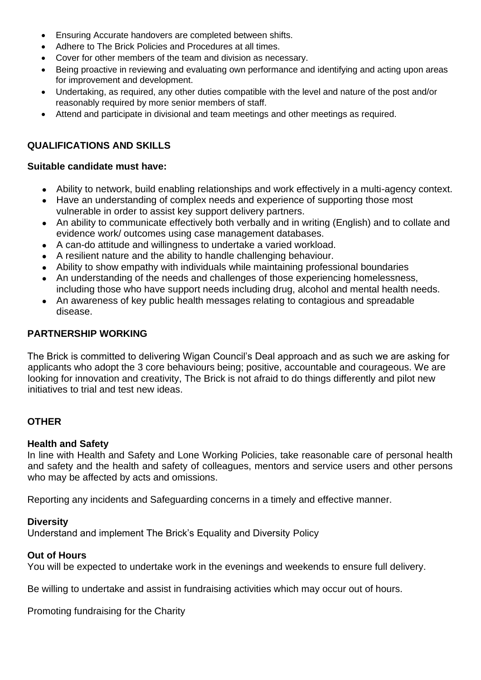- Ensuring Accurate handovers are completed between shifts.
- Adhere to The Brick Policies and Procedures at all times.
- Cover for other members of the team and division as necessary.
- Being proactive in reviewing and evaluating own performance and identifying and acting upon areas for improvement and development.
- Undertaking, as required, any other duties compatible with the level and nature of the post and/or reasonably required by more senior members of staff.
- Attend and participate in divisional and team meetings and other meetings as required.

### **QUALIFICATIONS AND SKILLS**

#### **Suitable candidate must have:**

- Ability to network, build enabling relationships and work effectively in a multi-agency context.
- Have an understanding of complex needs and experience of supporting those most vulnerable in order to assist key support delivery partners.
- An ability to communicate effectively both verbally and in writing (English) and to collate and evidence work/ outcomes using case management databases.
- A can-do attitude and willingness to undertake a varied workload.
- A resilient nature and the ability to handle challenging behaviour.
- Ability to show empathy with individuals while maintaining professional boundaries
- An understanding of the needs and challenges of those experiencing homelessness, including those who have support needs including drug, alcohol and mental health needs.
- An awareness of key public health messages relating to contagious and spreadable disease.

#### **PARTNERSHIP WORKING**

The Brick is committed to delivering Wigan Council's Deal approach and as such we are asking for applicants who adopt the 3 core behaviours being; positive, accountable and courageous. We are looking for innovation and creativity, The Brick is not afraid to do things differently and pilot new initiatives to trial and test new ideas.

#### **OTHER**

#### **Health and Safety**

In line with Health and Safety and Lone Working Policies, take reasonable care of personal health and safety and the health and safety of colleagues, mentors and service users and other persons who may be affected by acts and omissions.

Reporting any incidents and Safeguarding concerns in a timely and effective manner.

#### **Diversity**

Understand and implement The Brick's Equality and Diversity Policy

#### **Out of Hours**

You will be expected to undertake work in the evenings and weekends to ensure full delivery.

Be willing to undertake and assist in fundraising activities which may occur out of hours.

Promoting fundraising for the Charity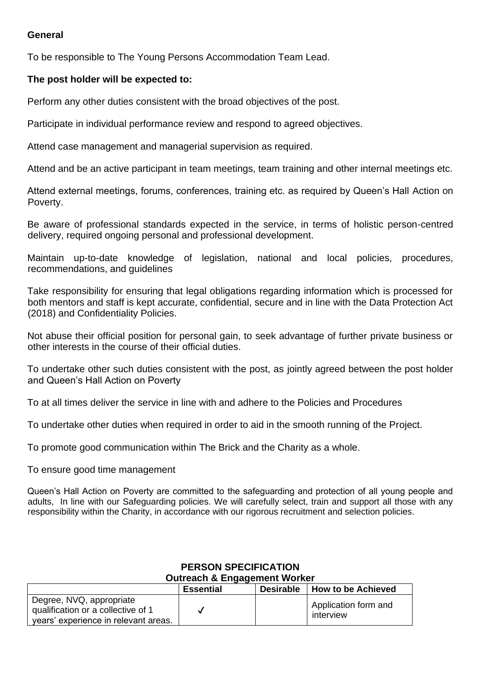#### **General**

To be responsible to The Young Persons Accommodation Team Lead.

#### **The post holder will be expected to:**

Perform any other duties consistent with the broad objectives of the post.

Participate in individual performance review and respond to agreed objectives.

Attend case management and managerial supervision as required.

Attend and be an active participant in team meetings, team training and other internal meetings etc.

Attend external meetings, forums, conferences, training etc. as required by Queen's Hall Action on Poverty.

Be aware of professional standards expected in the service, in terms of holistic person-centred delivery, required ongoing personal and professional development.

Maintain up-to-date knowledge of legislation, national and local policies, procedures, recommendations, and guidelines

Take responsibility for ensuring that legal obligations regarding information which is processed for both mentors and staff is kept accurate, confidential, secure and in line with the Data Protection Act (2018) and Confidentiality Policies.

Not abuse their official position for personal gain, to seek advantage of further private business or other interests in the course of their official duties.

To undertake other such duties consistent with the post, as jointly agreed between the post holder and Queen's Hall Action on Poverty

To at all times deliver the service in line with and adhere to the Policies and Procedures

To undertake other duties when required in order to aid in the smooth running of the Project.

To promote good communication within The Brick and the Charity as a whole.

To ensure good time management

Queen's Hall Action on Poverty are committed to the safeguarding and protection of all young people and adults, In line with our Safeguarding policies. We will carefully select, train and support all those with any responsibility within the Charity, in accordance with our rigorous recruitment and selection policies.

#### **Essential Desirable How to be Achieved** Degree, NVQ, appropriate qualification or a collective of 1 years' experience in relevant areas.  $\checkmark$ Application form and interview

## **PERSON SPECIFICATION**

**Outreach & Engagement Worker**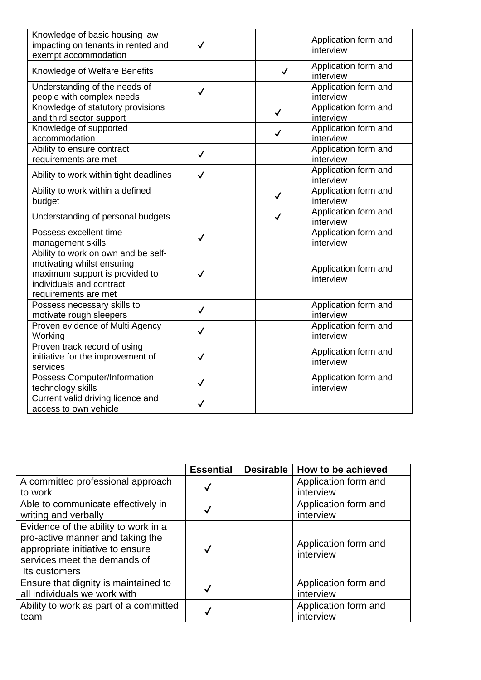| Knowledge of basic housing law<br>impacting on tenants in rented and<br>exempt accommodation                                                            | ✓            |              | Application form and<br>interview |
|---------------------------------------------------------------------------------------------------------------------------------------------------------|--------------|--------------|-----------------------------------|
| Knowledge of Welfare Benefits                                                                                                                           |              | $\checkmark$ | Application form and<br>interview |
| Understanding of the needs of<br>people with complex needs                                                                                              | $\checkmark$ |              | Application form and<br>interview |
| Knowledge of statutory provisions<br>and third sector support                                                                                           |              | $\checkmark$ | Application form and<br>interview |
| Knowledge of supported<br>accommodation                                                                                                                 |              | $\checkmark$ | Application form and<br>interview |
| Ability to ensure contract<br>requirements are met                                                                                                      | $\checkmark$ |              | Application form and<br>interview |
| Ability to work within tight deadlines                                                                                                                  | $\checkmark$ |              | Application form and<br>interview |
| Ability to work within a defined<br>budget                                                                                                              |              | $\checkmark$ | Application form and<br>interview |
| Understanding of personal budgets                                                                                                                       |              | ✓            | Application form and<br>interview |
| Possess excellent time<br>management skills                                                                                                             | $\checkmark$ |              | Application form and<br>interview |
| Ability to work on own and be self-<br>motivating whilst ensuring<br>maximum support is provided to<br>individuals and contract<br>requirements are met | ✓            |              | Application form and<br>interview |
| Possess necessary skills to<br>motivate rough sleepers                                                                                                  | ✓            |              | Application form and<br>interview |
| Proven evidence of Multi Agency<br>Working                                                                                                              | ✓            |              | Application form and<br>interview |
| Proven track record of using<br>initiative for the improvement of<br>services                                                                           | $\checkmark$ |              | Application form and<br>interview |
| Possess Computer/Information<br>technology skills                                                                                                       | $\checkmark$ |              | Application form and<br>interview |
| Current valid driving licence and<br>access to own vehicle                                                                                              | ✓            |              |                                   |

|                                        | <b>Essential</b> | <b>Desirable</b> | How to be achieved   |
|----------------------------------------|------------------|------------------|----------------------|
| A committed professional approach      | $\checkmark$     |                  | Application form and |
| to work                                |                  |                  | interview            |
| Able to communicate effectively in     |                  |                  | Application form and |
| writing and verbally                   | $\checkmark$     |                  | interview            |
| Evidence of the ability to work in a   |                  |                  |                      |
| pro-active manner and taking the       |                  |                  | Application form and |
| appropriate initiative to ensure       | $\checkmark$     |                  | interview            |
| services meet the demands of           |                  |                  |                      |
| Its customers                          |                  |                  |                      |
| Ensure that dignity is maintained to   |                  |                  | Application form and |
| all individuals we work with           |                  |                  | interview            |
| Ability to work as part of a committed | √                |                  | Application form and |
| team                                   |                  |                  | interview            |